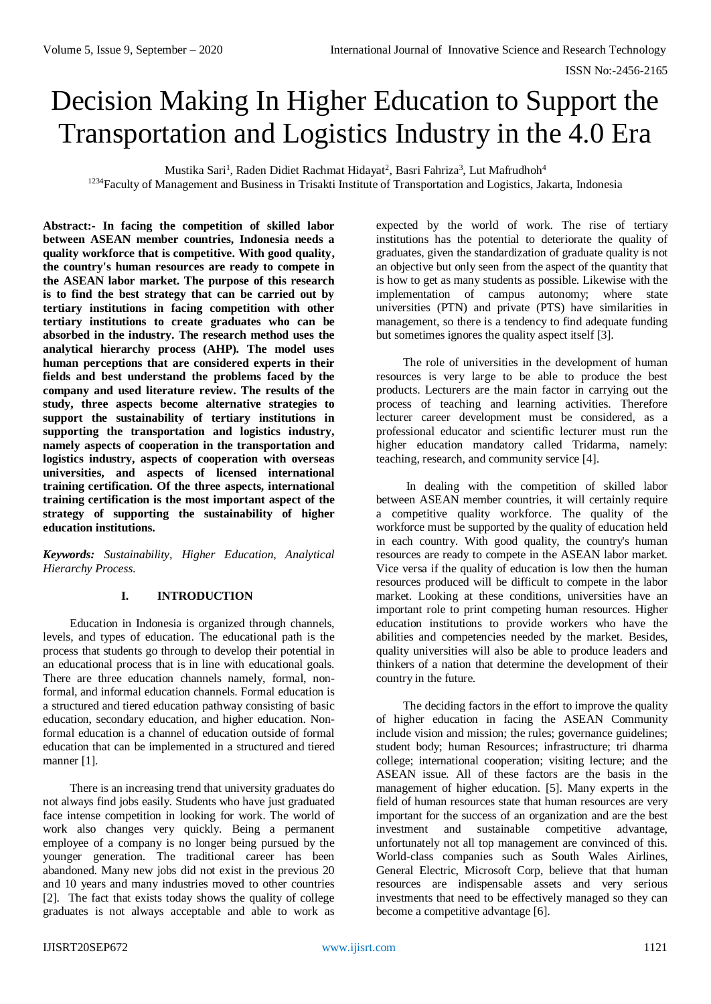# Decision Making In Higher Education to Support the Transportation and Logistics Industry in the 4.0 Era

Mustika Sari<sup>1</sup>, Raden Didiet Rachmat Hidayat<sup>2</sup>, Basri Fahriza<sup>3</sup>, Lut Mafrudhoh<sup>4</sup>

<sup>1234</sup>Faculty of Management and Business in Trisakti Institute of Transportation and Logistics, Jakarta, Indonesia

**Abstract:- In facing the competition of skilled labor between ASEAN member countries, Indonesia needs a quality workforce that is competitive. With good quality, the country's human resources are ready to compete in the ASEAN labor market. The purpose of this research is to find the best strategy that can be carried out by tertiary institutions in facing competition with other tertiary institutions to create graduates who can be absorbed in the industry. The research method uses the analytical hierarchy process (AHP). The model uses human perceptions that are considered experts in their fields and best understand the problems faced by the company and used literature review. The results of the study, three aspects become alternative strategies to support the sustainability of tertiary institutions in supporting the transportation and logistics industry, namely aspects of cooperation in the transportation and logistics industry, aspects of cooperation with overseas universities, and aspects of licensed international training certification. Of the three aspects, international training certification is the most important aspect of the strategy of supporting the sustainability of higher education institutions.**

*Keywords: Sustainability, Higher Education, Analytical Hierarchy Process.*

## **I. INTRODUCTION**

Education in Indonesia is organized through channels, levels, and types of education. The educational path is the process that students go through to develop their potential in an educational process that is in line with educational goals. There are three education channels namely, formal, nonformal, and informal education channels. Formal education is a structured and tiered education pathway consisting of basic education, secondary education, and higher education. Nonformal education is a channel of education outside of formal education that can be implemented in a structured and tiered manner [1].

There is an increasing trend that university graduates do not always find jobs easily. Students who have just graduated face intense competition in looking for work. The world of work also changes very quickly. Being a permanent employee of a company is no longer being pursued by the younger generation. The traditional career has been abandoned. Many new jobs did not exist in the previous 20 and 10 years and many industries moved to other countries [2]. The fact that exists today shows the quality of college graduates is not always acceptable and able to work as

expected by the world of work. The rise of tertiary institutions has the potential to deteriorate the quality of graduates, given the standardization of graduate quality is not an objective but only seen from the aspect of the quantity that is how to get as many students as possible. Likewise with the implementation of campus autonomy; where state universities (PTN) and private (PTS) have similarities in management, so there is a tendency to find adequate funding but sometimes ignores the quality aspect itself [3].

The role of universities in the development of human resources is very large to be able to produce the best products. Lecturers are the main factor in carrying out the process of teaching and learning activities. Therefore lecturer career development must be considered, as a professional educator and scientific lecturer must run the higher education mandatory called Tridarma, namely: teaching, research, and community service [4].

In dealing with the competition of skilled labor between ASEAN member countries, it will certainly require a competitive quality workforce. The quality of the workforce must be supported by the quality of education held in each country. With good quality, the country's human resources are ready to compete in the ASEAN labor market. Vice versa if the quality of education is low then the human resources produced will be difficult to compete in the labor market. Looking at these conditions, universities have an important role to print competing human resources. Higher education institutions to provide workers who have the abilities and competencies needed by the market. Besides, quality universities will also be able to produce leaders and thinkers of a nation that determine the development of their country in the future.

The deciding factors in the effort to improve the quality of higher education in facing the ASEAN Community include vision and mission; the rules; governance guidelines; student body; human Resources; infrastructure; tri dharma college; international cooperation; visiting lecture; and the ASEAN issue. All of these factors are the basis in the management of higher education. [5]. Many experts in the field of human resources state that human resources are very important for the success of an organization and are the best investment and sustainable competitive advantage, unfortunately not all top management are convinced of this. World-class companies such as South Wales Airlines, General Electric, Microsoft Corp, believe that that human resources are indispensable assets and very serious investments that need to be effectively managed so they can become a competitive advantage [6].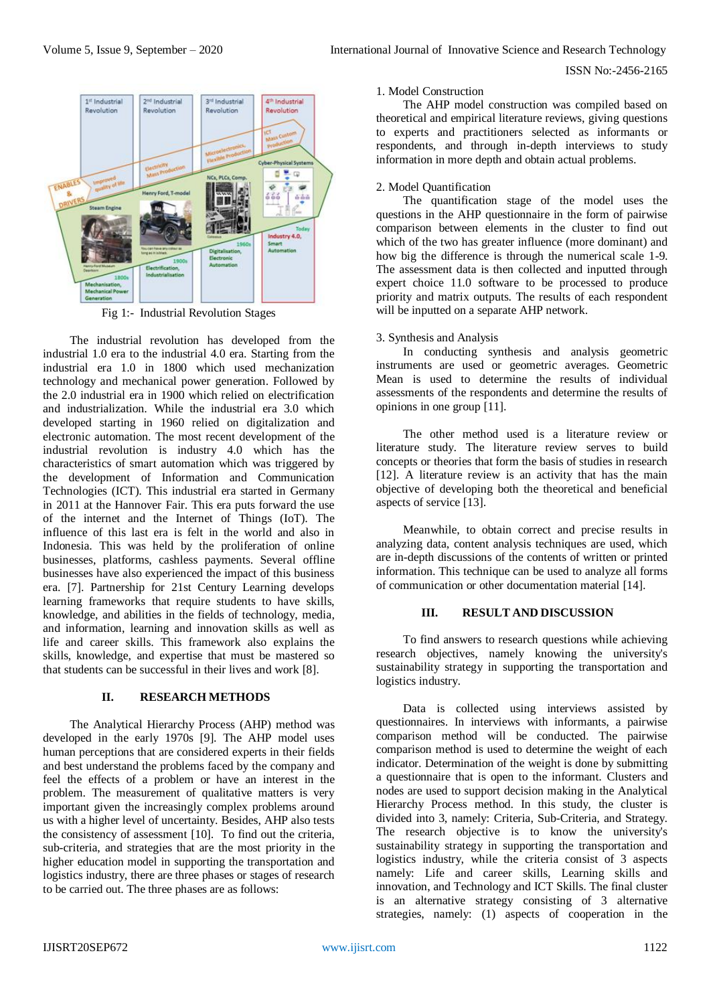

Fig 1:- Industrial Revolution Stages

The industrial revolution has developed from the industrial 1.0 era to the industrial 4.0 era. Starting from the industrial era 1.0 in 1800 which used mechanization technology and mechanical power generation. Followed by the 2.0 industrial era in 1900 which relied on electrification and industrialization. While the industrial era 3.0 which developed starting in 1960 relied on digitalization and electronic automation. The most recent development of the industrial revolution is industry 4.0 which has the characteristics of smart automation which was triggered by the development of Information and Communication Technologies (ICT). This industrial era started in Germany in 2011 at the Hannover Fair. This era puts forward the use of the internet and the Internet of Things (IoT). The influence of this last era is felt in the world and also in Indonesia. This was held by the proliferation of online businesses, platforms, cashless payments. Several offline businesses have also experienced the impact of this business era. [7]. Partnership for 21st Century Learning develops learning frameworks that require students to have skills, knowledge, and abilities in the fields of technology, media, and information, learning and innovation skills as well as life and career skills. This framework also explains the skills, knowledge, and expertise that must be mastered so that students can be successful in their lives and work [8].

# **II. RESEARCH METHODS**

The Analytical Hierarchy Process (AHP) method was developed in the early 1970s [9]. The AHP model uses human perceptions that are considered experts in their fields and best understand the problems faced by the company and feel the effects of a problem or have an interest in the problem. The measurement of qualitative matters is very important given the increasingly complex problems around us with a higher level of uncertainty. Besides, AHP also tests the consistency of assessment [10]. To find out the criteria, sub-criteria, and strategies that are the most priority in the higher education model in supporting the transportation and logistics industry, there are three phases or stages of research to be carried out. The three phases are as follows:

#### 1. Model Construction

The AHP model construction was compiled based on theoretical and empirical literature reviews, giving questions to experts and practitioners selected as informants or respondents, and through in-depth interviews to study information in more depth and obtain actual problems.

# 2. Model Quantification

The quantification stage of the model uses the questions in the AHP questionnaire in the form of pairwise comparison between elements in the cluster to find out which of the two has greater influence (more dominant) and how big the difference is through the numerical scale 1-9. The assessment data is then collected and inputted through expert choice 11.0 software to be processed to produce priority and matrix outputs. The results of each respondent will be inputted on a separate AHP network.

## 3. Synthesis and Analysis

In conducting synthesis and analysis geometric instruments are used or geometric averages. Geometric Mean is used to determine the results of individual assessments of the respondents and determine the results of opinions in one group [11].

The other method used is a literature review or literature study. The literature review serves to build concepts or theories that form the basis of studies in research [12]. A literature review is an activity that has the main objective of developing both the theoretical and beneficial aspects of service [13].

Meanwhile, to obtain correct and precise results in analyzing data, content analysis techniques are used, which are in-depth discussions of the contents of written or printed information. This technique can be used to analyze all forms of communication or other documentation material [14].

## **III. RESULT AND DISCUSSION**

To find answers to research questions while achieving research objectives, namely knowing the university's sustainability strategy in supporting the transportation and logistics industry.

Data is collected using interviews assisted by questionnaires. In interviews with informants, a pairwise comparison method will be conducted. The pairwise comparison method is used to determine the weight of each indicator. Determination of the weight is done by submitting a questionnaire that is open to the informant. Clusters and nodes are used to support decision making in the Analytical Hierarchy Process method. In this study, the cluster is divided into 3, namely: Criteria, Sub-Criteria, and Strategy. The research objective is to know the university's sustainability strategy in supporting the transportation and logistics industry, while the criteria consist of 3 aspects namely: Life and career skills, Learning skills and innovation, and Technology and ICT Skills. The final cluster is an alternative strategy consisting of 3 alternative strategies, namely: (1) aspects of cooperation in the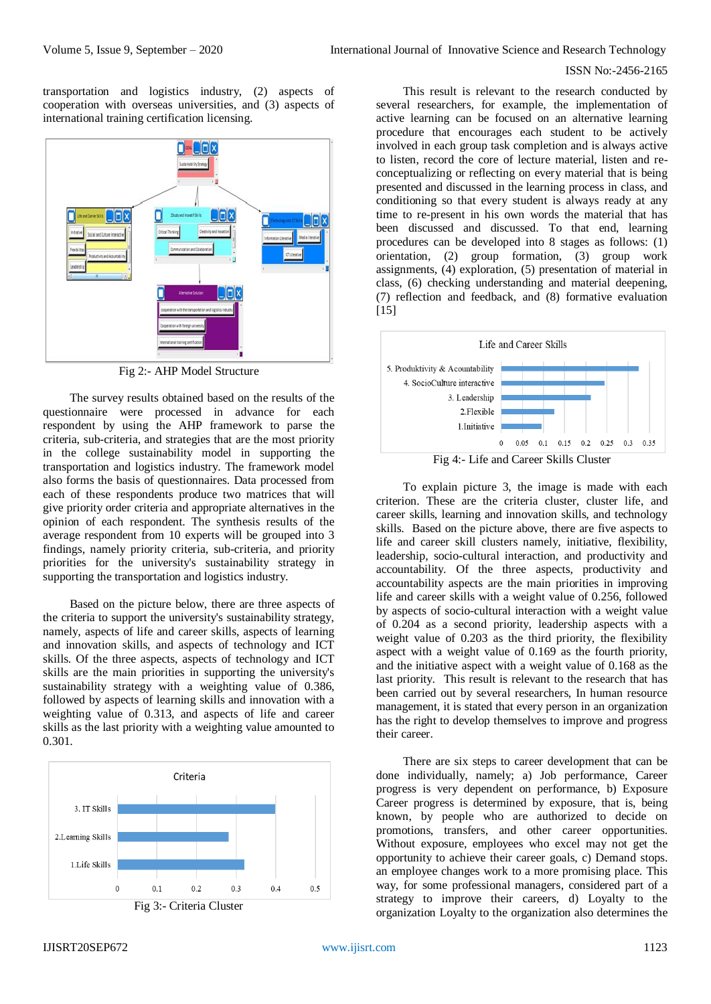transportation and logistics industry, (2) aspects of cooperation with overseas universities, and (3) aspects of international training certification licensing.



Fig 2:- AHP Model Structure

The survey results obtained based on the results of the questionnaire were processed in advance for each respondent by using the AHP framework to parse the criteria, sub-criteria, and strategies that are the most priority in the college sustainability model in supporting the transportation and logistics industry. The framework model also forms the basis of questionnaires. Data processed from each of these respondents produce two matrices that will give priority order criteria and appropriate alternatives in the opinion of each respondent. The synthesis results of the average respondent from 10 experts will be grouped into 3 findings, namely priority criteria, sub-criteria, and priority priorities for the university's sustainability strategy in supporting the transportation and logistics industry.

Based on the picture below, there are three aspects of the criteria to support the university's sustainability strategy, namely, aspects of life and career skills, aspects of learning and innovation skills, and aspects of technology and ICT skills. Of the three aspects, aspects of technology and ICT skills are the main priorities in supporting the university's sustainability strategy with a weighting value of 0.386, followed by aspects of learning skills and innovation with a weighting value of 0.313, and aspects of life and career skills as the last priority with a weighting value amounted to 0.301.



This result is relevant to the research conducted by several researchers, for example, the implementation of active learning can be focused on an alternative learning procedure that encourages each student to be actively involved in each group task completion and is always active to listen, record the core of lecture material, listen and reconceptualizing or reflecting on every material that is being presented and discussed in the learning process in class, and conditioning so that every student is always ready at any time to re-present in his own words the material that has been discussed and discussed. To that end, learning procedures can be developed into 8 stages as follows: (1) orientation, (2) group formation, (3) group work assignments, (4) exploration, (5) presentation of material in class, (6) checking understanding and material deepening, (7) reflection and feedback, and (8) formative evaluation [15]



Fig 4:- Life and Career Skills Cluster

To explain picture 3, the image is made with each criterion. These are the criteria cluster, cluster life, and career skills, learning and innovation skills, and technology skills. Based on the picture above, there are five aspects to life and career skill clusters namely, initiative, flexibility, leadership, socio-cultural interaction, and productivity and accountability. Of the three aspects, productivity and accountability aspects are the main priorities in improving life and career skills with a weight value of 0.256, followed by aspects of socio-cultural interaction with a weight value of 0.204 as a second priority, leadership aspects with a weight value of 0.203 as the third priority, the flexibility aspect with a weight value of 0.169 as the fourth priority, and the initiative aspect with a weight value of 0.168 as the last priority. This result is relevant to the research that has been carried out by several researchers, In human resource management, it is stated that every person in an organization has the right to develop themselves to improve and progress their career.

There are six steps to career development that can be done individually, namely; a) Job performance, Career progress is very dependent on performance, b) Exposure Career progress is determined by exposure, that is, being known, by people who are authorized to decide on promotions, transfers, and other career opportunities. Without exposure, employees who excel may not get the opportunity to achieve their career goals, c) Demand stops. an employee changes work to a more promising place. This way, for some professional managers, considered part of a strategy to improve their careers, d) Loyalty to the organization Loyalty to the organization also determines the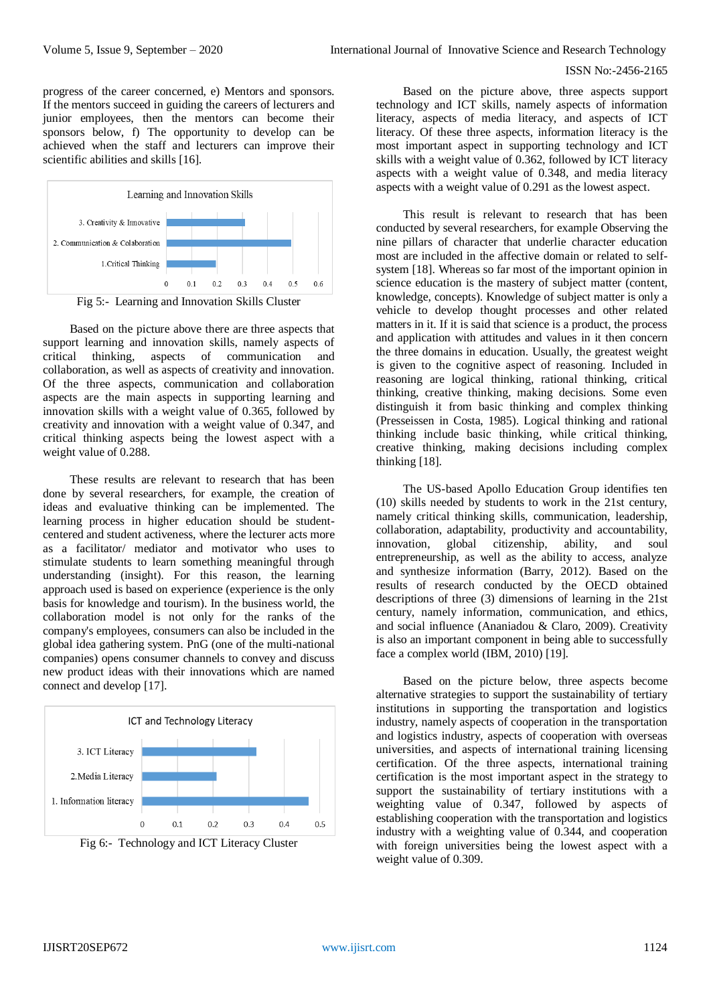progress of the career concerned, e) Mentors and sponsors. If the mentors succeed in guiding the careers of lecturers and junior employees, then the mentors can become their sponsors below, f) The opportunity to develop can be achieved when the staff and lecturers can improve their scientific abilities and skills [16].



Based on the picture above there are three aspects that support learning and innovation skills, namely aspects of critical thinking, aspects of communication and collaboration, as well as aspects of creativity and innovation. Of the three aspects, communication and collaboration aspects are the main aspects in supporting learning and innovation skills with a weight value of 0.365, followed by creativity and innovation with a weight value of 0.347, and critical thinking aspects being the lowest aspect with a weight value of 0.288.

These results are relevant to research that has been done by several researchers, for example, the creation of ideas and evaluative thinking can be implemented. The learning process in higher education should be studentcentered and student activeness, where the lecturer acts more as a facilitator/ mediator and motivator who uses to stimulate students to learn something meaningful through understanding (insight). For this reason, the learning approach used is based on experience (experience is the only basis for knowledge and tourism). In the business world, the collaboration model is not only for the ranks of the company's employees, consumers can also be included in the global idea gathering system. PnG (one of the multi-national companies) opens consumer channels to convey and discuss new product ideas with their innovations which are named connect and develop [17].



Fig 6:- Technology and ICT Literacy Cluster

Based on the picture above, three aspects support technology and ICT skills, namely aspects of information literacy, aspects of media literacy, and aspects of ICT literacy. Of these three aspects, information literacy is the most important aspect in supporting technology and ICT skills with a weight value of 0.362, followed by ICT literacy aspects with a weight value of 0.348, and media literacy aspects with a weight value of 0.291 as the lowest aspect.

This result is relevant to research that has been conducted by several researchers, for example Observing the nine pillars of character that underlie character education most are included in the affective domain or related to selfsystem [18]. Whereas so far most of the important opinion in science education is the mastery of subject matter (content, knowledge, concepts). Knowledge of subject matter is only a vehicle to develop thought processes and other related matters in it. If it is said that science is a product, the process and application with attitudes and values in it then concern the three domains in education. Usually, the greatest weight is given to the cognitive aspect of reasoning. Included in reasoning are logical thinking, rational thinking, critical thinking, creative thinking, making decisions. Some even distinguish it from basic thinking and complex thinking (Presseissen in Costa, 1985). Logical thinking and rational thinking include basic thinking, while critical thinking, creative thinking, making decisions including complex thinking [18].

The US-based Apollo Education Group identifies ten (10) skills needed by students to work in the 21st century, namely critical thinking skills, communication, leadership, collaboration, adaptability, productivity and accountability, innovation, global citizenship, ability, and soul innovation, global citizenship, ability, and soul entrepreneurship, as well as the ability to access, analyze and synthesize information (Barry, 2012). Based on the results of research conducted by the OECD obtained descriptions of three (3) dimensions of learning in the 21st century, namely information, communication, and ethics, and social influence (Ananiadou & Claro, 2009). Creativity is also an important component in being able to successfully face a complex world (IBM, 2010) [19].

Based on the picture below, three aspects become alternative strategies to support the sustainability of tertiary institutions in supporting the transportation and logistics industry, namely aspects of cooperation in the transportation and logistics industry, aspects of cooperation with overseas universities, and aspects of international training licensing certification. Of the three aspects, international training certification is the most important aspect in the strategy to support the sustainability of tertiary institutions with a weighting value of 0.347, followed by aspects of establishing cooperation with the transportation and logistics industry with a weighting value of 0.344, and cooperation with foreign universities being the lowest aspect with a weight value of 0.309.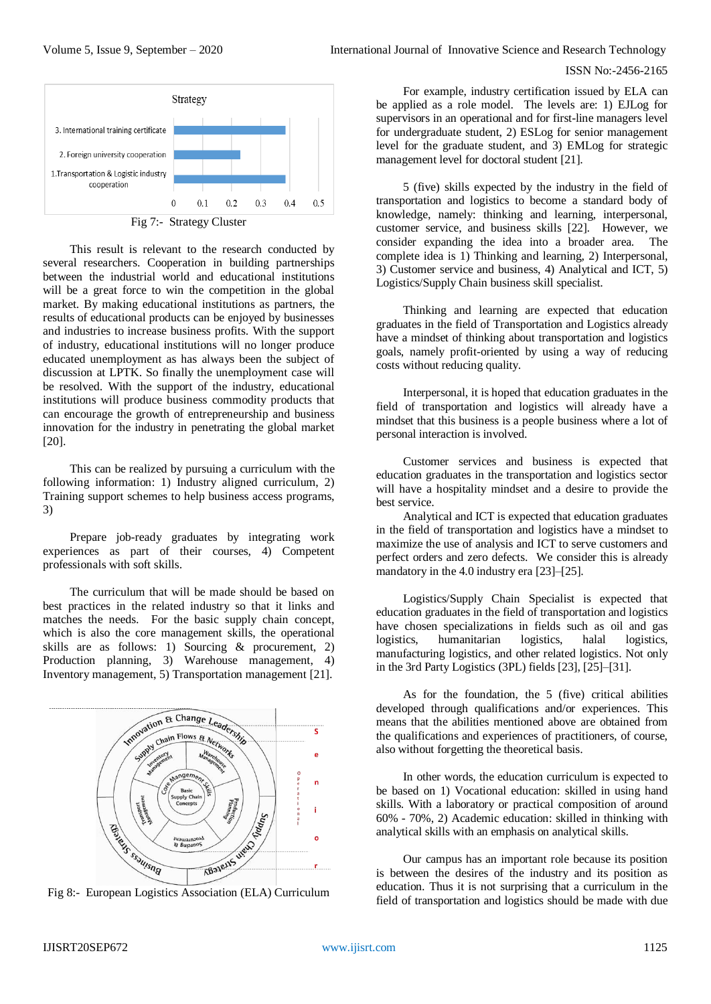

This result is relevant to the research conducted by several researchers. Cooperation in building partnerships between the industrial world and educational institutions will be a great force to win the competition in the global market. By making educational institutions as partners, the results of educational products can be enjoyed by businesses and industries to increase business profits. With the support of industry, educational institutions will no longer produce educated unemployment as has always been the subject of discussion at LPTK. So finally the unemployment case will be resolved. With the support of the industry, educational institutions will produce business commodity products that can encourage the growth of entrepreneurship and business innovation for the industry in penetrating the global market [20].

This can be realized by pursuing a curriculum with the following information: 1) Industry aligned curriculum, 2) Training support schemes to help business access programs, 3)

Prepare job-ready graduates by integrating work experiences as part of their courses, 4) Competent professionals with soft skills.

The curriculum that will be made should be based on best practices in the related industry so that it links and matches the needs. For the basic supply chain concept, which is also the core management skills, the operational skills are as follows: 1) Sourcing & procurement, 2) Production planning, 3) Warehouse management, 4) Inventory management, 5) Transportation management [21].



For example, industry certification issued by ELA can be applied as a role model. The levels are: 1) EJLog for supervisors in an operational and for first-line managers level for undergraduate student, 2) ESLog for senior management level for the graduate student, and 3) EMLog for strategic management level for doctoral student [21].

5 (five) skills expected by the industry in the field of transportation and logistics to become a standard body of knowledge, namely: thinking and learning, interpersonal, customer service, and business skills [22]. However, we consider expanding the idea into a broader area. The complete idea is 1) Thinking and learning, 2) Interpersonal, 3) Customer service and business, 4) Analytical and ICT, 5) Logistics/Supply Chain business skill specialist.

Thinking and learning are expected that education graduates in the field of Transportation and Logistics already have a mindset of thinking about transportation and logistics goals, namely profit-oriented by using a way of reducing costs without reducing quality.

Interpersonal, it is hoped that education graduates in the field of transportation and logistics will already have a mindset that this business is a people business where a lot of personal interaction is involved.

Customer services and business is expected that education graduates in the transportation and logistics sector will have a hospitality mindset and a desire to provide the best service.

Analytical and ICT is expected that education graduates in the field of transportation and logistics have a mindset to maximize the use of analysis and ICT to serve customers and perfect orders and zero defects. We consider this is already mandatory in the 4.0 industry era [23]–[25].

Logistics/Supply Chain Specialist is expected that education graduates in the field of transportation and logistics have chosen specializations in fields such as oil and gas logistics, humanitarian logistics, halal logistics, manufacturing logistics, and other related logistics. Not only in the 3rd Party Logistics (3PL) fields [23], [25]–[31].

As for the foundation, the 5 (five) critical abilities developed through qualifications and/or experiences. This means that the abilities mentioned above are obtained from the qualifications and experiences of practitioners, of course, also without forgetting the theoretical basis.

In other words, the education curriculum is expected to be based on 1) Vocational education: skilled in using hand skills. With a laboratory or practical composition of around 60% - 70%, 2) Academic education: skilled in thinking with analytical skills with an emphasis on analytical skills.

Our campus has an important role because its position is between the desires of the industry and its position as education. Thus it is not surprising that a curriculum in the field of transportation and logistics should be made with due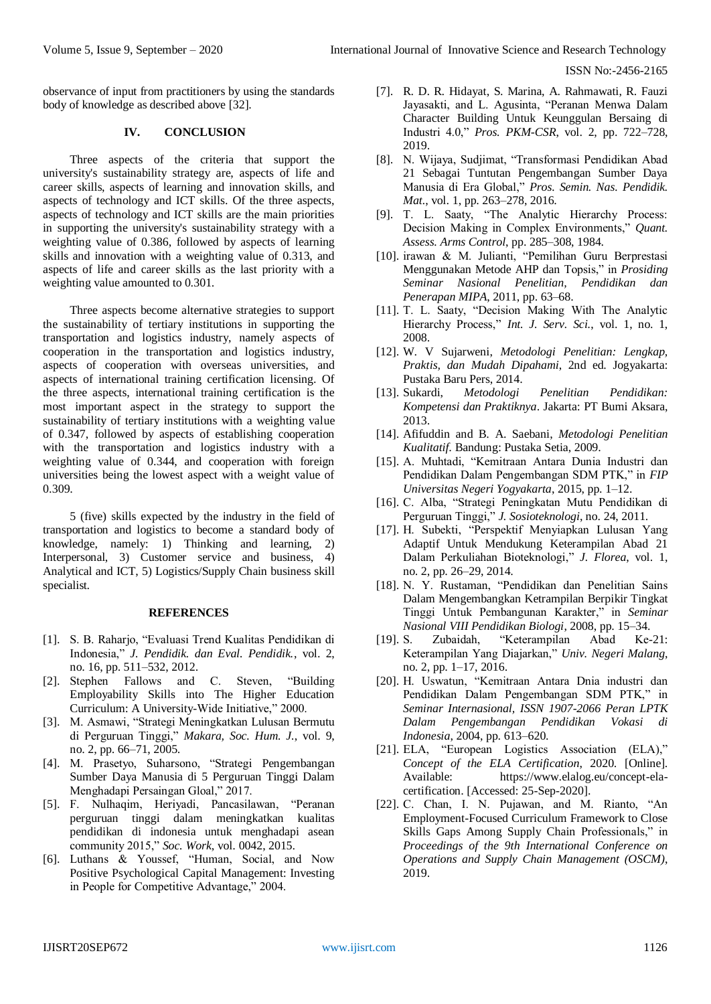observance of input from practitioners by using the standards body of knowledge as described above [32].

## **IV. CONCLUSION**

Three aspects of the criteria that support the university's sustainability strategy are, aspects of life and career skills, aspects of learning and innovation skills, and aspects of technology and ICT skills. Of the three aspects, aspects of technology and ICT skills are the main priorities in supporting the university's sustainability strategy with a weighting value of 0.386, followed by aspects of learning skills and innovation with a weighting value of 0.313, and aspects of life and career skills as the last priority with a weighting value amounted to 0.301.

Three aspects become alternative strategies to support the sustainability of tertiary institutions in supporting the transportation and logistics industry, namely aspects of cooperation in the transportation and logistics industry, aspects of cooperation with overseas universities, and aspects of international training certification licensing. Of the three aspects, international training certification is the most important aspect in the strategy to support the sustainability of tertiary institutions with a weighting value of 0.347, followed by aspects of establishing cooperation with the transportation and logistics industry with a weighting value of 0.344, and cooperation with foreign universities being the lowest aspect with a weight value of 0.309.

5 (five) skills expected by the industry in the field of transportation and logistics to become a standard body of knowledge, namely: 1) Thinking and learning, 2) Interpersonal, 3) Customer service and business, 4) Analytical and ICT, 5) Logistics/Supply Chain business skill specialist.

#### **REFERENCES**

- [1]. S. B. Raharjo, "Evaluasi Trend Kualitas Pendidikan di Indonesia," *J. Pendidik. dan Eval. Pendidik.*, vol. 2, no. 16, pp. 511–532, 2012.
- [2]. Stephen Fallows and C. Steven, "Building Employability Skills into The Higher Education Curriculum: A University-Wide Initiative," 2000.
- [3]. M. Asmawi, "Strategi Meningkatkan Lulusan Bermutu di Perguruan Tinggi," *Makara, Soc. Hum. J.*, vol. 9, no. 2, pp. 66–71, 2005.
- [4]. M. Prasetyo, Suharsono, "Strategi Pengembangan Sumber Daya Manusia di 5 Perguruan Tinggi Dalam Menghadapi Persaingan Gloal," 2017.
- [5]. F. Nulhaqim, Heriyadi, Pancasilawan, "Peranan perguruan tinggi dalam meningkatkan kualitas pendidikan di indonesia untuk menghadapi asean community 2015," *Soc. Work*, vol. 0042, 2015.
- [6]. Luthans & Youssef, "Human, Social, and Now Positive Psychological Capital Management: Investing in People for Competitive Advantage," 2004.
- [7]. R. D. R. Hidayat, S. Marina, A. Rahmawati, R. Fauzi Jayasakti, and L. Agusinta, "Peranan Menwa Dalam Character Building Untuk Keunggulan Bersaing di Industri 4.0," *Pros. PKM-CSR*, vol. 2, pp. 722–728, 2019.
- [8]. N. Wijaya, Sudjimat, "Transformasi Pendidikan Abad 21 Sebagai Tuntutan Pengembangan Sumber Daya Manusia di Era Global," *Pros. Semin. Nas. Pendidik. Mat.*, vol. 1, pp. 263–278, 2016.
- [9]. T. L. Saaty, "The Analytic Hierarchy Process: Decision Making in Complex Environments," *Quant. Assess. Arms Control*, pp. 285–308, 1984.
- [10]. irawan & M. Julianti, "Pemilihan Guru Berprestasi Menggunakan Metode AHP dan Topsis," in *Prosiding Seminar Nasional Penelitian, Pendidikan dan Penerapan MIPA*, 2011, pp. 63–68.
- [11]. T. L. Saaty, "Decision Making With The Analytic Hierarchy Process," *Int. J. Serv. Sci.*, vol. 1, no. 1, 2008.
- [12]. W. V Sujarweni, *Metodologi Penelitian: Lengkap, Praktis, dan Mudah Dipahami*, 2nd ed. Jogyakarta: Pustaka Baru Pers, 2014.
- [13]. Sukardi, *Metodologi Penelitian Pendidikan: Kompetensi dan Praktiknya*. Jakarta: PT Bumi Aksara, 2013.
- [14]. Afifuddin and B. A. Saebani, *Metodologi Penelitian Kualitatif*. Bandung: Pustaka Setia, 2009.
- [15]. A. Muhtadi, "Kemitraan Antara Dunia Industri dan Pendidikan Dalam Pengembangan SDM PTK," in *FIP Universitas Negeri Yogyakarta*, 2015, pp. 1–12.
- [16]. C. Alba, "Strategi Peningkatan Mutu Pendidikan di Perguruan Tinggi," *J. Sosioteknologi*, no. 24, 2011.
- [17]. H. Subekti, "Perspektif Menyiapkan Lulusan Yang Adaptif Untuk Mendukung Keterampilan Abad 21 Dalam Perkuliahan Bioteknologi," *J. Florea*, vol. 1, no. 2, pp. 26–29, 2014.
- [18]. N. Y. Rustaman, "Pendidikan dan Penelitian Sains Dalam Mengembangkan Ketrampilan Berpikir Tingkat Tinggi Untuk Pembangunan Karakter," in *Seminar Nasional VIII Pendidikan Biologi*, 2008, pp. 15–34.
- [19]. S. Zubaidah, "Keterampilan Abad Ke-21: Keterampilan Yang Diajarkan," *Univ. Negeri Malang*, no. 2, pp. 1–17, 2016.
- [20]. H. Uswatun, "Kemitraan Antara Dnia industri dan Pendidikan Dalam Pengembangan SDM PTK," in *Seminar Internasional, ISSN 1907-2066 Peran LPTK Dalam Pengembangan Pendidikan Vokasi di Indonesia*, 2004, pp. 613–620.
- [21]. ELA, "European Logistics Association (ELA)," *Concept of the ELA Certification*, 2020. [Online]. Available: https://www.elalog.eu/concept-elacertification. [Accessed: 25-Sep-2020].
- [22]. C. Chan, I. N. Pujawan, and M. Rianto, "An Employment-Focused Curriculum Framework to Close Skills Gaps Among Supply Chain Professionals," in *Proceedings of the 9th International Conference on Operations and Supply Chain Management (OSCM)*, 2019.